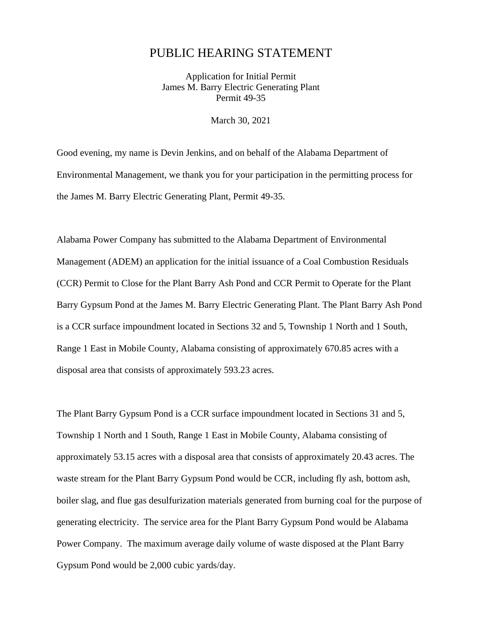## PUBLIC HEARING STATEMENT

Application for Initial Permit James M. Barry Electric Generating Plant Permit 49-35

March 30, 2021

Good evening, my name is Devin Jenkins, and on behalf of the Alabama Department of Environmental Management, we thank you for your participation in the permitting process for the James M. Barry Electric Generating Plant, Permit 49-35.

Alabama Power Company has submitted to the Alabama Department of Environmental Management (ADEM) an application for the initial issuance of a Coal Combustion Residuals (CCR) Permit to Close for the Plant Barry Ash Pond and CCR Permit to Operate for the Plant Barry Gypsum Pond at the James M. Barry Electric Generating Plant. The Plant Barry Ash Pond is a CCR surface impoundment located in Sections 32 and 5, Township 1 North and 1 South, Range 1 East in Mobile County, Alabama consisting of approximately 670.85 acres with a disposal area that consists of approximately 593.23 acres.

The Plant Barry Gypsum Pond is a CCR surface impoundment located in Sections 31 and 5, Township 1 North and 1 South, Range 1 East in Mobile County, Alabama consisting of approximately 53.15 acres with a disposal area that consists of approximately 20.43 acres. The waste stream for the Plant Barry Gypsum Pond would be CCR, including fly ash, bottom ash, boiler slag, and flue gas desulfurization materials generated from burning coal for the purpose of generating electricity. The service area for the Plant Barry Gypsum Pond would be Alabama Power Company. The maximum average daily volume of waste disposed at the Plant Barry Gypsum Pond would be 2,000 cubic yards/day.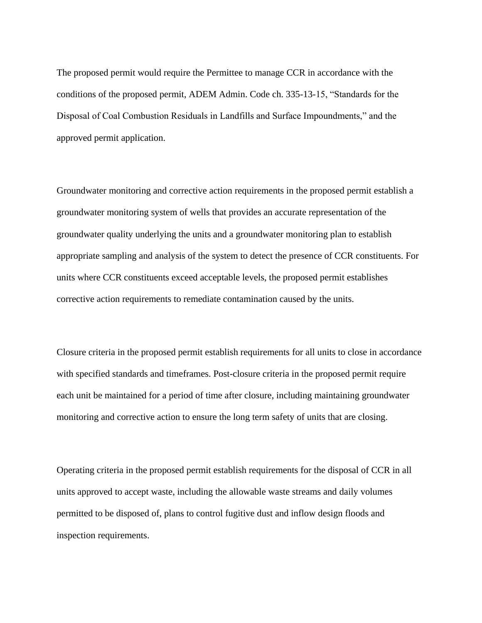The proposed permit would require the Permittee to manage CCR in accordance with the conditions of the proposed permit, ADEM Admin. Code ch. 335-13-15, "Standards for the Disposal of Coal Combustion Residuals in Landfills and Surface Impoundments," and the approved permit application.

Groundwater monitoring and corrective action requirements in the proposed permit establish a groundwater monitoring system of wells that provides an accurate representation of the groundwater quality underlying the units and a groundwater monitoring plan to establish appropriate sampling and analysis of the system to detect the presence of CCR constituents. For units where CCR constituents exceed acceptable levels, the proposed permit establishes corrective action requirements to remediate contamination caused by the units.

Closure criteria in the proposed permit establish requirements for all units to close in accordance with specified standards and timeframes. Post-closure criteria in the proposed permit require each unit be maintained for a period of time after closure, including maintaining groundwater monitoring and corrective action to ensure the long term safety of units that are closing.

Operating criteria in the proposed permit establish requirements for the disposal of CCR in all units approved to accept waste, including the allowable waste streams and daily volumes permitted to be disposed of, plans to control fugitive dust and inflow design floods and inspection requirements.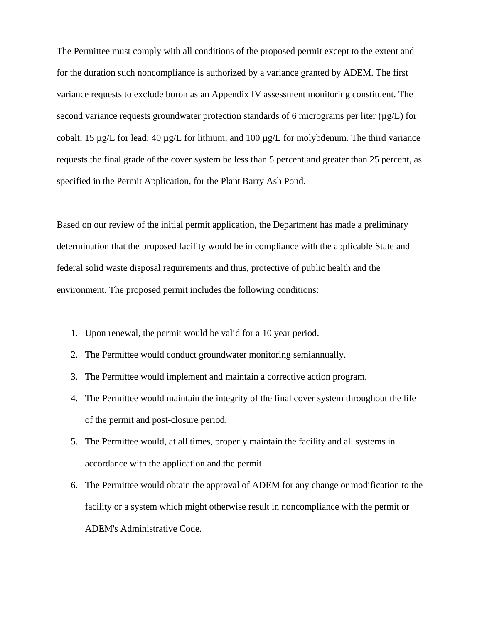The Permittee must comply with all conditions of the proposed permit except to the extent and for the duration such noncompliance is authorized by a variance granted by ADEM. The first variance requests to exclude boron as an Appendix IV assessment monitoring constituent. The second variance requests groundwater protection standards of 6 micrograms per liter  $(\mu g/L)$  for cobalt; 15  $\mu$ g/L for lead; 40  $\mu$ g/L for lithium; and 100  $\mu$ g/L for molybdenum. The third variance requests the final grade of the cover system be less than 5 percent and greater than 25 percent, as specified in the Permit Application, for the Plant Barry Ash Pond.

Based on our review of the initial permit application, the Department has made a preliminary determination that the proposed facility would be in compliance with the applicable State and federal solid waste disposal requirements and thus, protective of public health and the environment. The proposed permit includes the following conditions:

- 1. Upon renewal, the permit would be valid for a 10 year period.
- 2. The Permittee would conduct groundwater monitoring semiannually.
- 3. The Permittee would implement and maintain a corrective action program.
- 4. The Permittee would maintain the integrity of the final cover system throughout the life of the permit and post-closure period.
- 5. The Permittee would, at all times, properly maintain the facility and all systems in accordance with the application and the permit.
- 6. The Permittee would obtain the approval of ADEM for any change or modification to the facility or a system which might otherwise result in noncompliance with the permit or ADEM's Administrative Code.